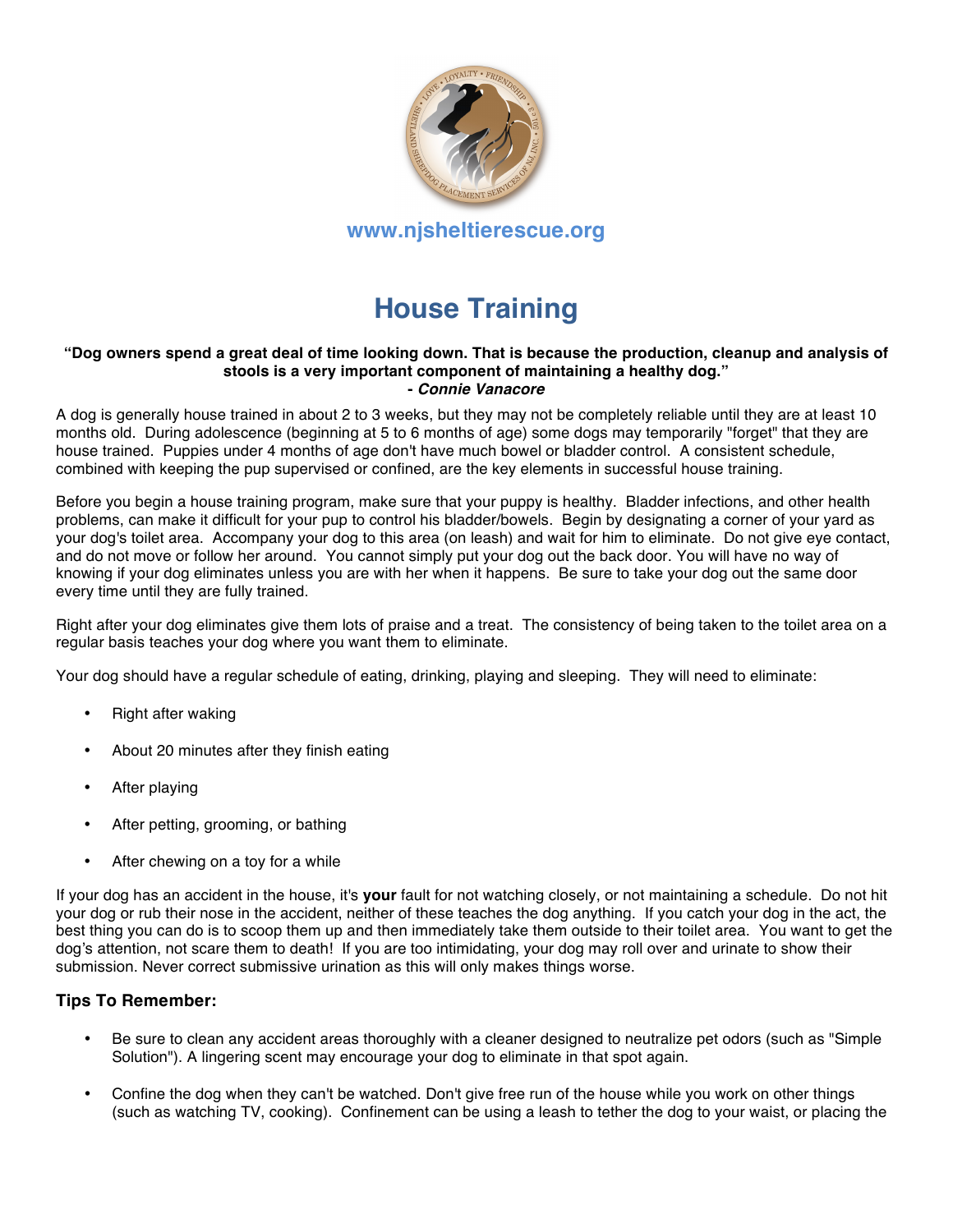

# **House Training**

#### **"Dog owners spend a great deal of time looking down. That is because the production, cleanup and analysis of stools is a very important component of maintaining a healthy dog." -** *Connie Vanacore*

A dog is generally house trained in about 2 to 3 weeks, but they may not be completely reliable until they are at least 10 months old. During adolescence (beginning at 5 to 6 months of age) some dogs may temporarily "forget" that they are house trained. Puppies under 4 months of age don't have much bowel or bladder control. A consistent schedule, combined with keeping the pup supervised or confined, are the key elements in successful house training.

Before you begin a house training program, make sure that your puppy is healthy. Bladder infections, and other health problems, can make it difficult for your pup to control his bladder/bowels. Begin by designating a corner of your yard as your dog's toilet area. Accompany your dog to this area (on leash) and wait for him to eliminate. Do not give eye contact, and do not move or follow her around. You cannot simply put your dog out the back door. You will have no way of knowing if your dog eliminates unless you are with her when it happens. Be sure to take your dog out the same door every time until they are fully trained.

Right after your dog eliminates give them lots of praise and a treat. The consistency of being taken to the toilet area on a regular basis teaches your dog where you want them to eliminate.

Your dog should have a regular schedule of eating, drinking, playing and sleeping. They will need to eliminate:

- Right after waking
- About 20 minutes after they finish eating
- After playing
- After petting, grooming, or bathing
- After chewing on a toy for a while

If your dog has an accident in the house, it's **your** fault for not watching closely, or not maintaining a schedule. Do not hit your dog or rub their nose in the accident, neither of these teaches the dog anything. If you catch your dog in the act, the best thing you can do is to scoop them up and then immediately take them outside to their toilet area. You want to get the dog's attention, not scare them to death! If you are too intimidating, your dog may roll over and urinate to show their submission. Never correct submissive urination as this will only makes things worse.

#### **Tips To Remember:**

- Be sure to clean any accident areas thoroughly with a cleaner designed to neutralize pet odors (such as "Simple Solution"). A lingering scent may encourage your dog to eliminate in that spot again.
- Confine the dog when they can't be watched. Don't give free run of the house while you work on other things (such as watching TV, cooking). Confinement can be using a leash to tether the dog to your waist, or placing the